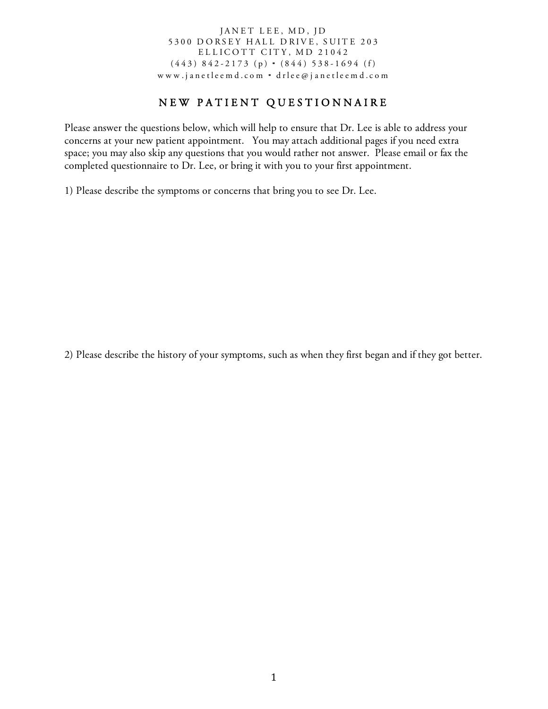## JANET LEE, MD, JD 5300 DORSEY HALL DRIVE, SUITE 203 ELLICOTT CITY, MD 21042  $(443)$  842-2173 (p)  $\cdot$  (844) 538-1694 (f) www.janetleemd.com ⋅ drlee@ janetleemd.com

## NEW PATIENT QUESTIONNAIRE

Please answer the questions below, which will help to ensure that Dr. Lee is able to address your concerns at your new patient appointment. You may attach additional pages if you need extra space; you may also skip any questions that you would rather not answer. Please email or fax the completed questionnaire to Dr. Lee, or bring it with you to your first appointment.

1) Please describe the symptoms or concerns that bring you to see Dr. Lee.

2) Please describe the history of your symptoms, such as when they first began and if they got better.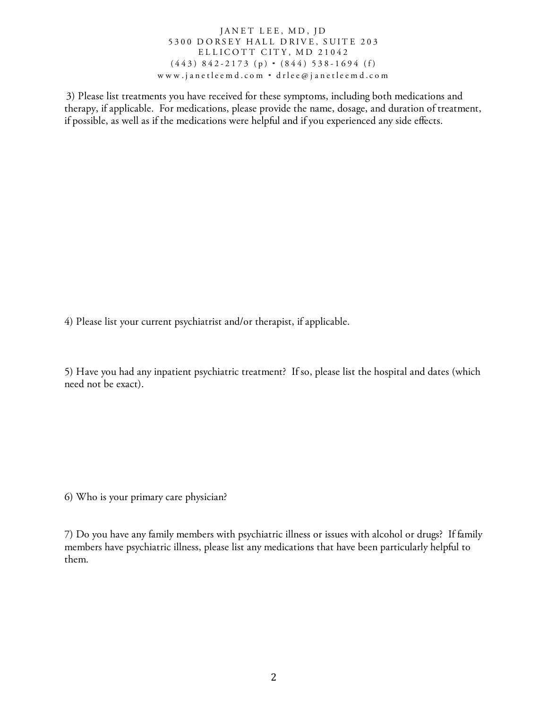JANET LEE, MD, JD 5300 DORSEY HALL DRIVE, SUITE 203 ELLICOTT CITY, MD 21042 (443) 842 - 2173 (p) ⋅ (844) 538 - 1694 (f) www.janetleemd.com ⋅ drlee@ janetleemd.com

3) Please list treatments you have received for these symptoms, including both medications and therapy, if applicable. For medications, please provide the name, dosage, and duration of treatment, if possible, as well as if the medications were helpful and if you experienced any side effects.

4) Please list your current psychiatrist and/or therapist, if applicable.

5) Have you had any inpatient psychiatric treatment? If so, please list the hospital and dates (which need not be exact).

6) Who is your primary care physician?

7) Do you have any family members with psychiatric illness or issues with alcohol or drugs? If family members have psychiatric illness, please list any medications that have been particularly helpful to them.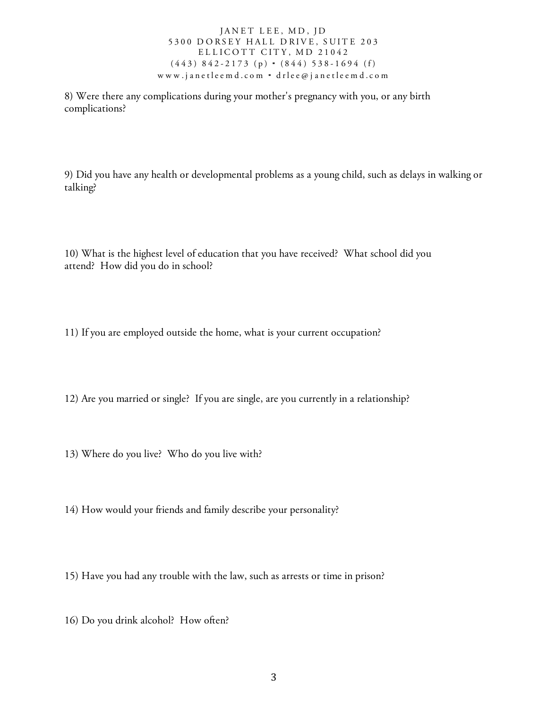## JANET LEE, MD, JD 5300 DORSEY HALL DRIVE, SUITE 203 ELLICOTT CITY, MD 21042 (443) 842 - 2173 (p) ⋅ (844) 538 - 1694 (f) www.janetleemd.com ⋅ drlee@ janetleemd.com

8) Were there any complications during your mother's pregnancy with you, or any birth complications?

9) Did you have any health or developmental problems as a young child, such as delays in walking or talking?

10) What is the highest level of education that you have received? What school did you attend? How did you do in school?

11) If you are employed outside the home, what is your current occupation?

12) Are you married or single? If you are single, are you currently in a relationship?

- 13) Where do you live? Who do you live with?
- 14) How would your friends and family describe your personality?
- 15) Have you had any trouble with the law, such as arrests or time in prison?
- 16) Do you drink alcohol? How often?